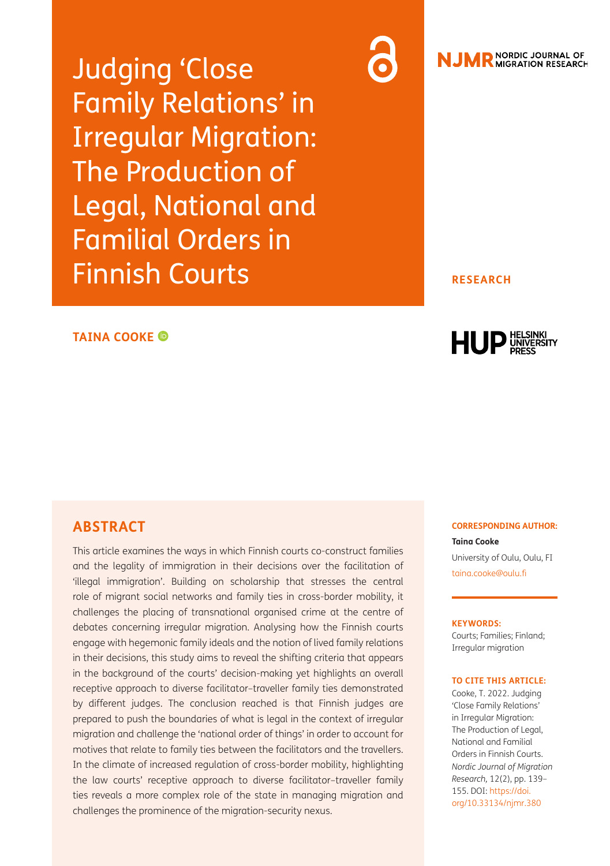Judging 'Close Family Relations' in Irregular Migration: The Production of Legal, National and Familial Orders in Finnish Courts

### **TAINA COOKE**

# **ABSTRACT**

This article examines the ways in which Finnish courts co-construct families and the legality of immigration in their decisions over the facilitation of 'illegal immigration'. Building on scholarship that stresses the central role of migrant social networks and family ties in cross-border mobility, it challenges the placing of transnational organised crime at the centre of debates concerning irregular migration. Analysing how the Finnish courts engage with hegemonic family ideals and the notion of lived family relations in their decisions, this study aims to reveal the shifting criteria that appears in the background of the courts' decision-making yet highlights an overall receptive approach to diverse facilitator–traveller family ties demonstrated by different judges. The conclusion reached is that Finnish judges are prepared to push the boundaries of what is legal in the context of irregular migration and challenge the 'national order of things' in order to account for motives that relate to family ties between the facilitators and the travellers. In the climate of increased regulation of cross-border mobility, highlighting the law courts' receptive approach to diverse facilitator–traveller family ties reveals a more complex role of the state in managing migration and challenges the prominence of the migration-security nexus.

# **NJMR** NORDIC JOURNAL OF

#### **RESEARCH**



#### **CORRESPONDING AUTHOR:**

**Taina Cooke** University of Oulu, Oulu, FI [taina.cooke@oulu.fi](mailto:taina.cooke@oulu.fi)

#### **KEYWORDS:**

Courts; Families; Finland; Irregular migration

#### **TO CITE THIS ARTICLE:**

Cooke, T. 2022. Judging 'Close Family Relations' in Irregular Migration: The Production of Legal, National and Familial Orders in Finnish Courts. *Nordic Journal of Migration Research,* 12(2), pp. 139– 155. DOI: [https://doi.](https://doi.org/10.33134/njmr.380) [org/10.33134/njmr.380](https://doi.org/10.33134/njmr.380)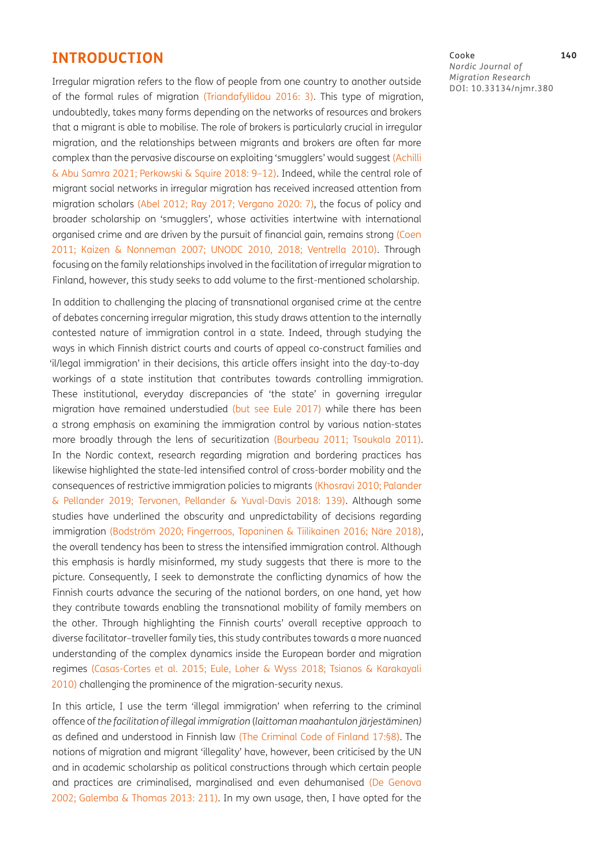## **INTRODUCTION**

Irregular migration refers to the flow of people from one country to another outside of the formal rules of migration ([Triandafyllidou 2016:](#page-16-0) 3). This type of migration, undoubtedly, takes many forms depending on the networks of resources and brokers that a migrant is able to mobilise. The role of brokers is particularly crucial in irregular migration, and the relationships between migrants and brokers are often far more complex than the pervasive discourse on exploiting 'smugglers' would suggest ([Achilli](#page-13-0) [& Abu Samra 2021](#page-13-0); [Perkowski & Squire 2018:](#page-15-0) 9–12). Indeed, while the central role of migrant social networks in irregular migration has received increased attention from migration scholars (Abel 2012; [Ray 2017](#page-15-1); Vergano 2020: 7), the focus of policy and broader scholarship on 'smugglers', whose activities intertwine with international organised crime and are driven by the pursuit of financial gain, remains strong ([Coen](#page-14-0)  [2011](#page-14-0); [Kaizen & Nonneman 2007](#page-15-2); [UNODC 2010](#page-16-1), [2018;](#page-16-2) [Ventrella 2010\)](#page-16-3). Through focusing on the family relationships involved in the facilitation of irregular migration to Finland, however, this study seeks to add volume to the first-mentioned scholarship.

In addition to challenging the placing of transnational organised crime at the centre of debates concerning irregular migration, this study draws attention to the internally contested nature of immigration control in a state. Indeed, through studying the ways in which Finnish district courts and courts of appeal co-construct families and 'il/legal immigration' in their decisions, this article offers insight into the day-to-day workings of a state institution that contributes towards controlling immigration. These institutional, everyday discrepancies of 'the state' in governing irregular migration have remained understudied (but see [Eule 2017](#page-14-1)) while there has been a strong emphasis on examining the immigration control by various nation-states more broadly through the lens of securitization ([Bourbeau 2011](#page-13-1); [Tsoukala 2011\)](#page-16-4). In the Nordic context, research regarding migration and bordering practices has likewise highlighted the state-led intensified control of cross-border mobility and the consequences of restrictive immigration policies to migrants (Khosravi 2010; [Palander](#page-15-3) [& Pellander 2019](#page-15-3); [Tervonen, Pellander & Yuval-Davis 2018](#page-16-5): 139). Although some studies have underlined the obscurity and unpredictability of decisions regarding immigration (Bodström 2020; Fingerroos, Tapaninen & Tiilikainen 2016; Näre 2018), the overall tendency has been to stress the intensified immigration control. Although this emphasis is hardly misinformed, my study suggests that there is more to the picture. Consequently, I seek to demonstrate the conflicting dynamics of how the Finnish courts advance the securing of the national borders, on one hand, yet how they contribute towards enabling the transnational mobility of family members on the other. Through highlighting the Finnish courts' overall receptive approach to diverse facilitator–traveller family ties, this study contributes towards a more nuanced understanding of the complex dynamics inside the European border and migration regimes [\(Casas-Cortes et al. 2015](#page-13-2); [Eule, Loher & Wyss 2018;](#page-14-2) [Tsianos & Karakayali](#page-16-6)  [2010](#page-16-6)) challenging the prominence of the migration-security nexus.

In this article, I use the term 'illegal immigration' when referring to the criminal offence of *the facilitation of illegal immigration* (*laittoman maahantulon järjestäminen)*  as defined and understood in Finnish law (The Criminal Code of Finland 17:§8). The notions of migration and migrant 'illegality' have, however, been criticised by the UN and in academic scholarship as political constructions through which certain people and practices are criminalised, marginalised and even dehumanised (De Genova 2002; [Galemba & Thomas 2013](#page-14-3): 211). In my own usage, then, I have opted for the

#### Cooke **140**

*Nordic Journal of Migration Research* DOI: [10.33134/njmr.380](https://doi.org/10.33134/njmr.380)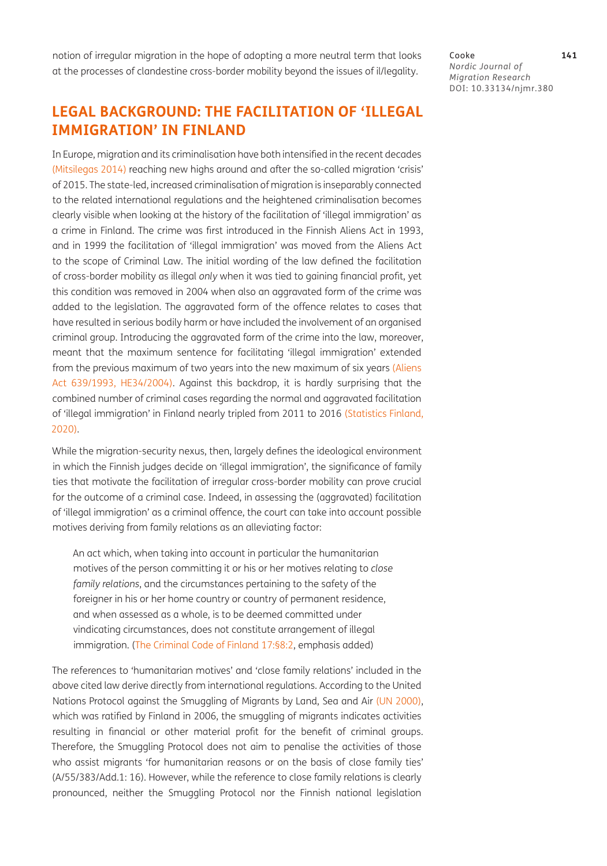notion of irregular migration in the hope of adopting a more neutral term that looks at the processes of clandestine cross-border mobility beyond the issues of il/legality.

# **LEGAL BACKGROUND: THE FACILITATION OF 'ILLEGAL IMMIGRATION' IN FINLAND**

In Europe, migration and its criminalisation have both intensified in the recent decades [\(Mitsilegas 2014\)](#page-15-4) reaching new highs around and after the so-called migration 'crisis' of 2015. The state-led, increased criminalisation of migration is inseparably connected to the related international regulations and the heightened criminalisation becomes clearly visible when looking at the history of the facilitation of 'illegal immigration' as a crime in Finland. The crime was first introduced in the Finnish Aliens Act in 1993, and in 1999 the facilitation of 'illegal immigration' was moved from the Aliens Act to the scope of Criminal Law. The initial wording of the law defined the facilitation of cross-border mobility as illegal *only* when it was tied to gaining financial profit, yet this condition was removed in 2004 when also an aggravated form of the crime was added to the legislation. The aggravated form of the offence relates to cases that have resulted in serious bodily harm or have included the involvement of an organised criminal group. Introducing the aggravated form of the crime into the law, moreover, meant that the maximum sentence for facilitating 'illegal immigration' extended from the previous maximum of two years into the new maximum of six years ([Aliens](#page-13-3) [Act 639/1993](#page-13-3), HE34/2004). Against this backdrop, it is hardly surprising that the combined number of criminal cases regarding the normal and aggravated facilitation of 'illegal immigration' in Finland nearly tripled from 2011 to 2016 [\(Statistics Finland,](#page-16-7) [2020](#page-16-7)).

While the migration-security nexus, then, largely defines the ideological environment in which the Finnish judges decide on 'illegal immigration', the significance of family ties that motivate the facilitation of irregular cross-border mobility can prove crucial for the outcome of a criminal case. Indeed, in assessing the (aggravated) facilitation of 'illegal immigration' as a criminal offence, the court can take into account possible motives deriving from family relations as an alleviating factor:

An act which, when taking into account in particular the humanitarian motives of the person committing it or his or her motives relating to *close family relations*, and the circumstances pertaining to the safety of the foreigner in his or her home country or country of permanent residence, and when assessed as a whole, is to be deemed committed under vindicating circumstances, does not constitute arrangement of illegal immigration. (The Criminal Code of Finland 17:§8:2, emphasis added)

The references to 'humanitarian motives' and 'close family relations' included in the above cited law derive directly from international regulations. According to the United Nations Protocol against the Smuggling of Migrants by Land, Sea and Air [\(UN 2000\)](#page-16-8), which was ratified by Finland in 2006, the smuggling of migrants indicates activities resulting in financial or other material profit for the benefit of criminal groups. Therefore, the Smuggling Protocol does not aim to penalise the activities of those who assist migrants 'for humanitarian reasons or on the basis of close family ties' (A/55/383/Add.1: 16). However, while the reference to close family relations is clearly pronounced, neither the Smuggling Protocol nor the Finnish national legislation

Cooke **141** *Nordic Journal of Migration Research* DOI: [10.33134/njmr.380](https://doi.org/10.33134/njmr.380)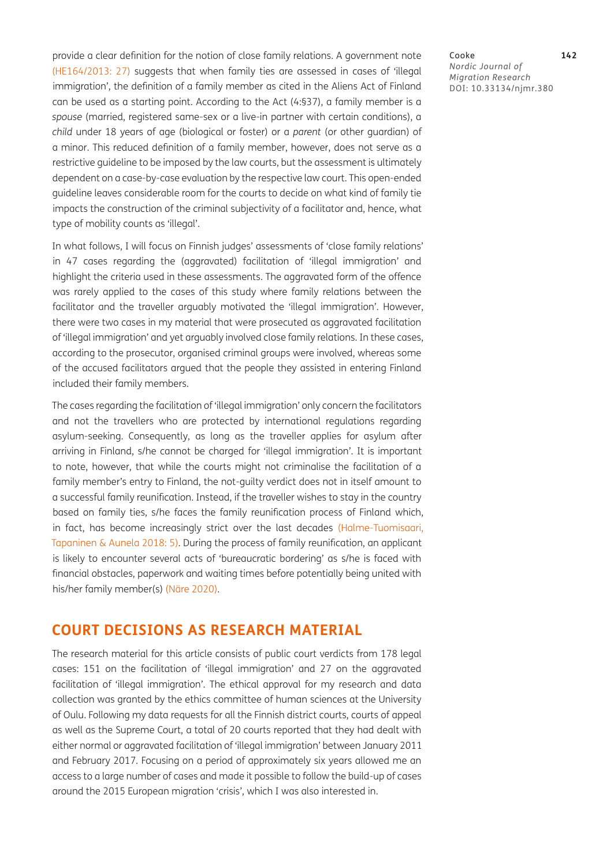provide a clear definition for the notion of close family relations. A government note (HE164/2013: 27) suggests that when family ties are assessed in cases of 'illegal immigration', the definition of a family member as cited in the Aliens Act of Finland can be used as a starting point. According to the Act (4:§37), a family member is a *spouse* (married, registered same-sex or a live-in partner with certain conditions), a *child* under 18 years of age (biological or foster) or a *parent* (or other guardian) of a minor. This reduced definition of a family member, however, does not serve as a restrictive guideline to be imposed by the law courts, but the assessment is ultimately dependent on a case-by-case evaluation by the respective law court. This open-ended guideline leaves considerable room for the courts to decide on what kind of family tie impacts the construction of the criminal subjectivity of a facilitator and, hence, what type of mobility counts as 'illegal'.

In what follows, I will focus on Finnish judges' assessments of 'close family relations' in 47 cases regarding the (aggravated) facilitation of 'illegal immigration' and highlight the criteria used in these assessments. The aggravated form of the offence was rarely applied to the cases of this study where family relations between the facilitator and the traveller arguably motivated the 'illegal immigration'. However, there were two cases in my material that were prosecuted as aggravated facilitation of 'illegal immigration' and yet arguably involved close family relations. In these cases, according to the prosecutor, organised criminal groups were involved, whereas some of the accused facilitators argued that the people they assisted in entering Finland included their family members.

The cases regarding the facilitation of 'illegal immigration' only concern the facilitators and not the travellers who are protected by international regulations regarding asylum-seeking. Consequently, as long as the traveller applies for asylum after arriving in Finland, s/he cannot be charged for 'illegal immigration'. It is important to note, however, that while the courts might not criminalise the facilitation of a family member's entry to Finland, the not-guilty verdict does not in itself amount to a successful family reunification. Instead, if the traveller wishes to stay in the country based on family ties, s/he faces the family reunification process of Finland which, in fact, has become increasingly strict over the last decades (Halme-Tuomisaari, Tapaninen & Aunela 2018: 5). During the process of family reunification, an applicant is likely to encounter several acts of 'bureaucratic bordering' as s/he is faced with financial obstacles, paperwork and waiting times before potentially being united with his/her family member(s) (Näre 2020).

## **COURT DECISIONS AS RESEARCH MATERIAL**

The research material for this article consists of public court verdicts from 178 legal cases: 151 on the facilitation of 'illegal immigration' and 27 on the aggravated facilitation of 'illegal immigration'. The ethical approval for my research and data collection was granted by the ethics committee of human sciences at the University of Oulu. Following my data requests for all the Finnish district courts, courts of appeal as well as the Supreme Court, a total of 20 courts reported that they had dealt with either normal or aggravated facilitation of 'illegal immigration' between January 2011 and February 2017. Focusing on a period of approximately six years allowed me an access to a large number of cases and made it possible to follow the build-up of cases around the 2015 European migration 'crisis', which I was also interested in.

### Cooke **142**

*Nordic Journal of Migration Research* DOI: [10.33134/njmr.380](https://doi.org/10.33134/njmr.380)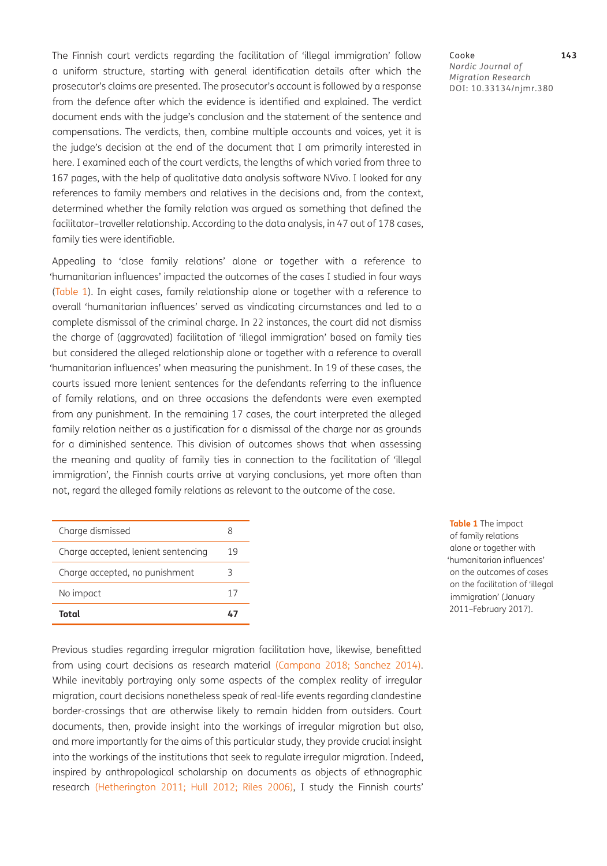The Finnish court verdicts regarding the facilitation of 'illegal immigration' follow a uniform structure, starting with general identification details after which the prosecutor's claims are presented. The prosecutor's account is followed by a response from the defence after which the evidence is identified and explained. The verdict document ends with the judge's conclusion and the statement of the sentence and compensations. The verdicts, then, combine multiple accounts and voices, yet it is the judge's decision at the end of the document that I am primarily interested in here. I examined each of the court verdicts, the lengths of which varied from three to 167 pages, with the help of qualitative data analysis software NVivo. I looked for any references to family members and relatives in the decisions and, from the context, determined whether the family relation was argued as something that defined the facilitator–traveller relationship. According to the data analysis, in 47 out of 178 cases, family ties were identifiable.

Appealing to 'close family relations' alone or together with a reference to 'humanitarian influences' impacted the outcomes of the cases I studied in four ways [\(Table 1\)](#page-4-0). In eight cases, family relationship alone or together with a reference to overall 'humanitarian influences' served as vindicating circumstances and led to a complete dismissal of the criminal charge. In 22 instances, the court did not dismiss the charge of (aggravated) facilitation of 'illegal immigration' based on family ties but considered the alleged relationship alone or together with a reference to overall 'humanitarian influences' when measuring the punishment. In 19 of these cases, the courts issued more lenient sentences for the defendants referring to the influence of family relations, and on three occasions the defendants were even exempted from any punishment. In the remaining 17 cases, the court interpreted the alleged family relation neither as a justification for a dismissal of the charge nor as grounds for a diminished sentence. This division of outcomes shows that when assessing the meaning and quality of family ties in connection to the facilitation of 'illegal immigration', the Finnish courts arrive at varying conclusions, yet more often than not, regard the alleged family relations as relevant to the outcome of the case.

| Charge dismissed                    |    |
|-------------------------------------|----|
| Charge accepted, lenient sentencing | 19 |
| Charge accepted, no punishment      |    |
| No impact                           | 17 |
| Total                               |    |

<span id="page-4-0"></span>**Table 1** The impact of family relations alone or together with 'humanitarian influences' on the outcomes of cases on the facilitation of 'illegal immigration' (January 2011–February 2017).

Previous studies regarding irregular migration facilitation have, likewise, benefitted from using court decisions as research material ([Campana 2018](#page-13-4); [Sanchez 2014\)](#page-15-5). While inevitably portraying only some aspects of the complex reality of irregular migration, court decisions nonetheless speak of real-life events regarding clandestine border-crossings that are otherwise likely to remain hidden from outsiders. Court documents, then, provide insight into the workings of irregular migration but also, and more importantly for the aims of this particular study, they provide crucial insight into the workings of the institutions that seek to regulate irregular migration. Indeed, inspired by anthropological scholarship on documents as objects of ethnographic research [\(Hetherington 2011](#page-14-4); [Hull 2012;](#page-14-5) [Riles 2006](#page-15-6)), I study the Finnish courts' *Nordic Journal of Migration Research* DOI: [10.33134/njmr.380](https://doi.org/10.33134/njmr.380)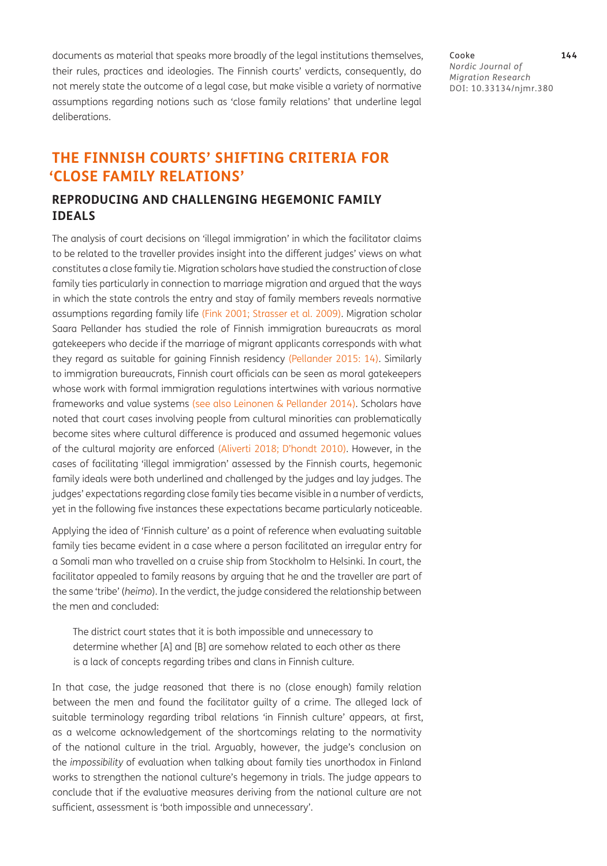documents as material that speaks more broadly of the legal institutions themselves, their rules, practices and ideologies. The Finnish courts' verdicts, consequently, do not merely state the outcome of a legal case, but make visible a variety of normative assumptions regarding notions such as 'close family relations' that underline legal deliberations.

Cooke **144** *Nordic Journal of Migration Research* DOI: [10.33134/njmr.380](https://doi.org/10.33134/njmr.380)

# **THE FINNISH COURTS' SHIFTING CRITERIA FOR 'CLOSE FAMILY RELATIONS'**

## **REPRODUCING AND CHALLENGING HEGEMONIC FAMILY IDEALS**

The analysis of court decisions on 'illegal immigration' in which the facilitator claims to be related to the traveller provides insight into the different judges' views on what constitutes a close family tie. Migration scholars have studied the construction of close family ties particularly in connection to marriage migration and argued that the ways in which the state controls the entry and stay of family members reveals normative assumptions regarding family life (Fink 2001; [Strasser et al. 2009](#page-16-9)). Migration scholar Saara Pellander has studied the role of Finnish immigration bureaucrats as moral gatekeepers who decide if the marriage of migrant applicants corresponds with what they regard as suitable for gaining Finnish residency (Pellander 2015: 14). Similarly to immigration bureaucrats, Finnish court officials can be seen as moral gatekeepers whose work with formal immigration regulations intertwines with various normative frameworks and value systems (see also [Leinonen & Pellander 2014](#page-15-7)). Scholars have noted that court cases involving people from cultural minorities can problematically become sites where cultural difference is produced and assumed hegemonic values of the cultural majority are enforced ([Aliverti 2018](#page-13-5); D'hondt 2010). However, in the cases of facilitating 'illegal immigration' assessed by the Finnish courts, hegemonic family ideals were both underlined and challenged by the judges and lay judges. The judges' expectations regarding close family ties became visible in a number of verdicts, yet in the following five instances these expectations became particularly noticeable.

Applying the idea of 'Finnish culture' as a point of reference when evaluating suitable family ties became evident in a case where a person facilitated an irregular entry for a Somali man who travelled on a cruise ship from Stockholm to Helsinki. In court, the facilitator appealed to family reasons by arguing that he and the traveller are part of the same 'tribe' (*heimo*). In the verdict, the judge considered the relationship between the men and concluded:

The district court states that it is both impossible and unnecessary to determine whether [A] and [B] are somehow related to each other as there is a lack of concepts regarding tribes and clans in Finnish culture.

In that case, the judge reasoned that there is no (close enough) family relation between the men and found the facilitator guilty of a crime. The alleged lack of suitable terminology regarding tribal relations 'in Finnish culture' appears, at first, as a welcome acknowledgement of the shortcomings relating to the normativity of the national culture in the trial. Arguably, however, the judge's conclusion on the *impossibility* of evaluation when talking about family ties unorthodox in Finland works to strengthen the national culture's hegemony in trials. The judge appears to conclude that if the evaluative measures deriving from the national culture are not sufficient, assessment is 'both impossible and unnecessary'.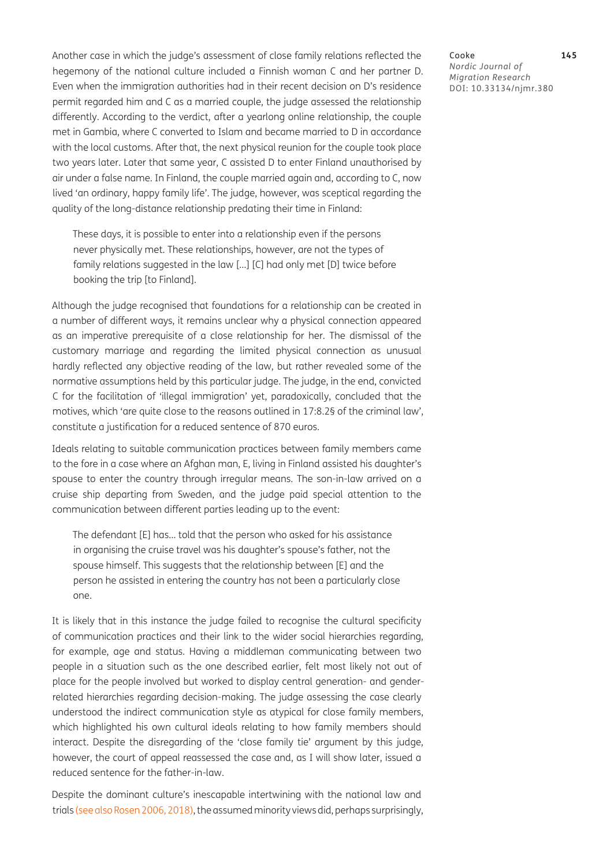Another case in which the judge's assessment of close family relations reflected the hegemony of the national culture included a Finnish woman C and her partner D. Even when the immigration authorities had in their recent decision on D's residence permit regarded him and C as a married couple, the judge assessed the relationship differently. According to the verdict, after a yearlong online relationship, the couple met in Gambia, where C converted to Islam and became married to D in accordance with the local customs. After that, the next physical reunion for the couple took place two years later. Later that same year, C assisted D to enter Finland unauthorised by air under a false name. In Finland, the couple married again and, according to C, now lived 'an ordinary, happy family life'. The judge, however, was sceptical regarding the quality of the long-distance relationship predating their time in Finland:

These days, it is possible to enter into a relationship even if the persons never physically met. These relationships, however, are not the types of family relations suggested in the law […] [C] had only met [D] twice before booking the trip [to Finland].

Although the judge recognised that foundations for a relationship can be created in a number of different ways, it remains unclear why a physical connection appeared as an imperative prerequisite of a close relationship for her. The dismissal of the customary marriage and regarding the limited physical connection as unusual hardly reflected any objective reading of the law, but rather revealed some of the normative assumptions held by this particular judge. The judge, in the end, convicted C for the facilitation of 'illegal immigration' yet, paradoxically, concluded that the motives, which 'are quite close to the reasons outlined in 17:8.2§ of the criminal law', constitute a justification for a reduced sentence of 870 euros.

Ideals relating to suitable communication practices between family members came to the fore in a case where an Afghan man, E, living in Finland assisted his daughter's spouse to enter the country through irregular means. The son-in-law arrived on a cruise ship departing from Sweden, and the judge paid special attention to the communication between different parties leading up to the event:

The defendant [E] has… told that the person who asked for his assistance in organising the cruise travel was his daughter's spouse's father, not the spouse himself. This suggests that the relationship between [E] and the person he assisted in entering the country has not been a particularly close one.

It is likely that in this instance the judge failed to recognise the cultural specificity of communication practices and their link to the wider social hierarchies regarding, for example, age and status. Having a middleman communicating between two people in a situation such as the one described earlier, felt most likely not out of place for the people involved but worked to display central generation- and genderrelated hierarchies regarding decision-making. The judge assessing the case clearly understood the indirect communication style as atypical for close family members, which highlighted his own cultural ideals relating to how family members should interact. Despite the disregarding of the 'close family tie' argument by this judge, however, the court of appeal reassessed the case and, as I will show later, issued a reduced sentence for the father-in-law.

Despite the dominant culture's inescapable intertwining with the national law and trials (see also [Rosen 2006](#page-15-8), [2018\)](#page-15-9), the assumed minority views did, perhaps surprisingly,

Cooke **145** *Nordic Journal of Migration Research* DOI: [10.33134/njmr.380](https://doi.org/10.33134/njmr.380)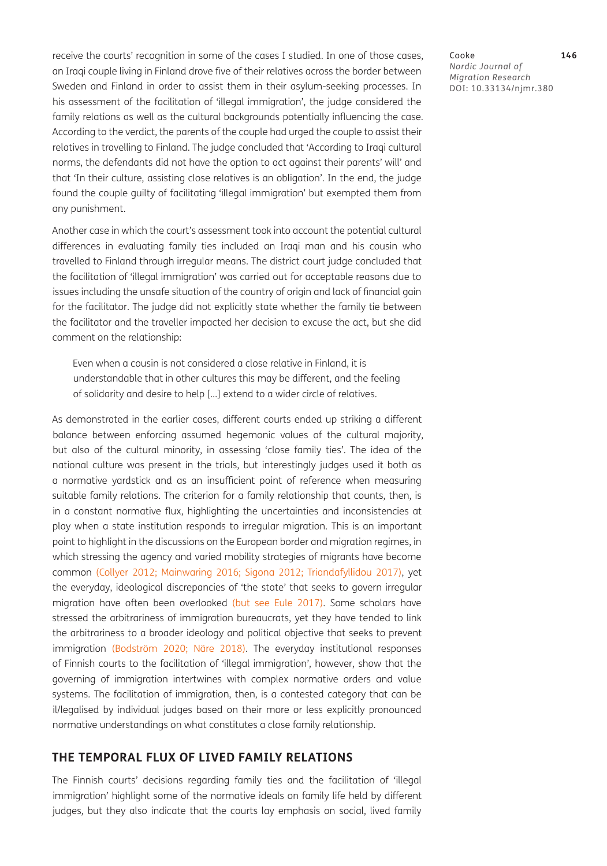receive the courts' recognition in some of the cases I studied. In one of those cases, an Iraqi couple living in Finland drove five of their relatives across the border between Sweden and Finland in order to assist them in their asylum-seeking processes. In his assessment of the facilitation of 'illegal immigration', the judge considered the family relations as well as the cultural backgrounds potentially influencing the case. According to the verdict, the parents of the couple had urged the couple to assist their relatives in travelling to Finland. The judge concluded that 'According to Iraqi cultural norms, the defendants did not have the option to act against their parents' will' and that 'In their culture, assisting close relatives is an obligation'. In the end, the judge found the couple guilty of facilitating 'illegal immigration' but exempted them from any punishment.

Another case in which the court's assessment took into account the potential cultural differences in evaluating family ties included an Iraqi man and his cousin who travelled to Finland through irregular means. The district court judge concluded that the facilitation of 'illegal immigration' was carried out for acceptable reasons due to issues including the unsafe situation of the country of origin and lack of financial gain for the facilitator. The judge did not explicitly state whether the family tie between the facilitator and the traveller impacted her decision to excuse the act, but she did comment on the relationship:

Even when a cousin is not considered a close relative in Finland, it is understandable that in other cultures this may be different, and the feeling of solidarity and desire to help […] extend to a wider circle of relatives.

As demonstrated in the earlier cases, different courts ended up striking a different balance between enforcing assumed hegemonic values of the cultural majority, but also of the cultural minority, in assessing 'close family ties'. The idea of the national culture was present in the trials, but interestingly judges used it both as a normative yardstick and as an insufficient point of reference when measuring suitable family relations. The criterion for a family relationship that counts, then, is in a constant normative flux, highlighting the uncertainties and inconsistencies at play when a state institution responds to irregular migration. This is an important point to highlight in the discussions on the European border and migration regimes, in which stressing the agency and varied mobility strategies of migrants have become common (Collyer 2012; [Mainwaring 2016](#page-15-10); Sigona 2012; Triandafyllidou 2017), yet the everyday, ideological discrepancies of 'the state' that seeks to govern irregular migration have often been overlooked (but see [Eule 2017\)](#page-14-1). Some scholars have stressed the arbitrariness of immigration bureaucrats, yet they have tended to link the arbitrariness to a broader ideology and political objective that seeks to prevent immigration (Bodström 2020; Näre 2018). The everyday institutional responses of Finnish courts to the facilitation of 'illegal immigration', however, show that the governing of immigration intertwines with complex normative orders and value systems. The facilitation of immigration, then, is a contested category that can be il/legalised by individual judges based on their more or less explicitly pronounced normative understandings on what constitutes a close family relationship.

### **THE TEMPORAL FLUX OF LIVED FAMILY RELATIONS**

The Finnish courts' decisions regarding family ties and the facilitation of 'illegal immigration' highlight some of the normative ideals on family life held by different judges, but they also indicate that the courts lay emphasis on social, lived family Cooke **146** *Nordic Journal of Migration Research* DOI: [10.33134/njmr.380](https://doi.org/10.33134/njmr.380)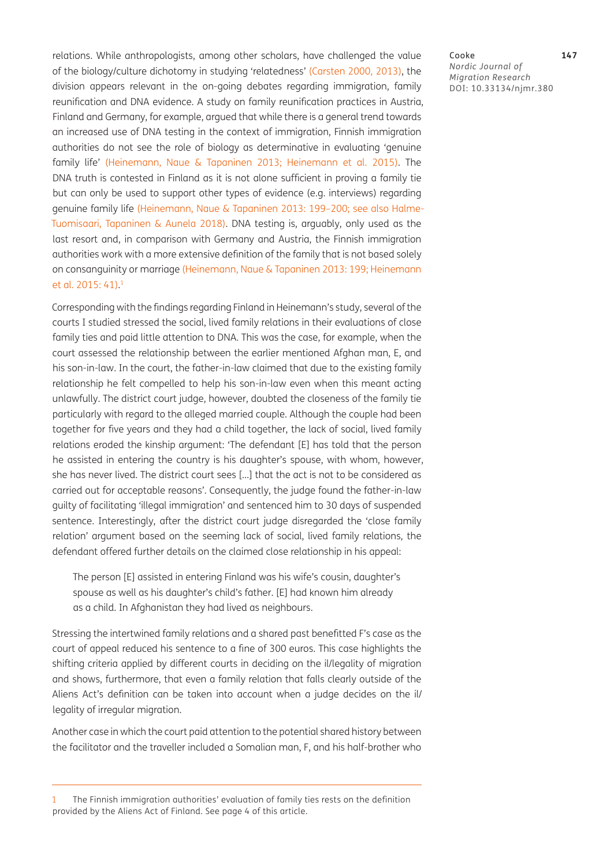relations. While anthropologists, among other scholars, have challenged the value of the biology/culture dichotomy in studying 'relatedness' [\(Carsten 2000](#page-13-6), [2013\)](#page-13-7), the division appears relevant in the on-going debates regarding immigration, family reunification and DNA evidence. A study on family reunification practices in Austria, Finland and Germany, for example, argued that while there is a general trend towards an increased use of DNA testing in the context of immigration, Finnish immigration authorities do not see the role of biology as determinative in evaluating 'genuine family life' ([Heinemann, Naue & Tapaninen 2013;](#page-14-6) Heinemann et al. 2015). The DNA truth is contested in Finland as it is not alone sufficient in proving a family tie but can only be used to support other types of evidence (e.g. interviews) regarding genuine family life ([Heinemann, Naue & Tapaninen 2013](#page-14-6): 199–200; see also Halme-Tuomisaari, Tapaninen & Aunela 2018). DNA testing is, arguably, only used as the last resort and, in comparison with Germany and Austria, the Finnish immigration authorities work with a more extensive definition of the family that is not based solely on consanguinity or marriage ([Heinemann, Naue & Tapaninen 2013](#page-14-6): 199; Heinemann et al. 2015: 41). 1

Corresponding with the findings regarding Finland in Heinemann's study, several of the courts I studied stressed the social, lived family relations in their evaluations of close family ties and paid little attention to DNA. This was the case, for example, when the court assessed the relationship between the earlier mentioned Afghan man, E, and his son-in-law. In the court, the father-in-law claimed that due to the existing family relationship he felt compelled to help his son-in-law even when this meant acting unlawfully. The district court judge, however, doubted the closeness of the family tie particularly with regard to the alleged married couple. Although the couple had been together for five years and they had a child together, the lack of social, lived family relations eroded the kinship argument: 'The defendant [E] has told that the person he assisted in entering the country is his daughter's spouse, with whom, however, she has never lived. The district court sees […] that the act is not to be considered as carried out for acceptable reasons'. Consequently, the judge found the father-in-law guilty of facilitating 'illegal immigration' and sentenced him to 30 days of suspended sentence. Interestingly, after the district court judge disregarded the 'close family relation' argument based on the seeming lack of social, lived family relations, the defendant offered further details on the claimed close relationship in his appeal:

The person [E] assisted in entering Finland was his wife's cousin, daughter's spouse as well as his daughter's child's father. [E] had known him already as a child. In Afghanistan they had lived as neighbours.

Stressing the intertwined family relations and a shared past benefitted F's case as the court of appeal reduced his sentence to a fine of 300 euros. This case highlights the shifting criteria applied by different courts in deciding on the il/legality of migration and shows, furthermore, that even a family relation that falls clearly outside of the Aliens Act's definition can be taken into account when a judge decides on the il/ legality of irregular migration.

Another case in which the court paid attention to the potential shared history between the facilitator and the traveller included a Somalian man, F, and his half-brother who

Cooke **147** *Nordic Journal of Migration Research* DOI: [10.33134/njmr.380](https://doi.org/10.33134/njmr.380)

<sup>1</sup> The Finnish immigration authorities' evaluation of family ties rests on the definition provided by the Aliens Act of Finland. See page 4 of this article.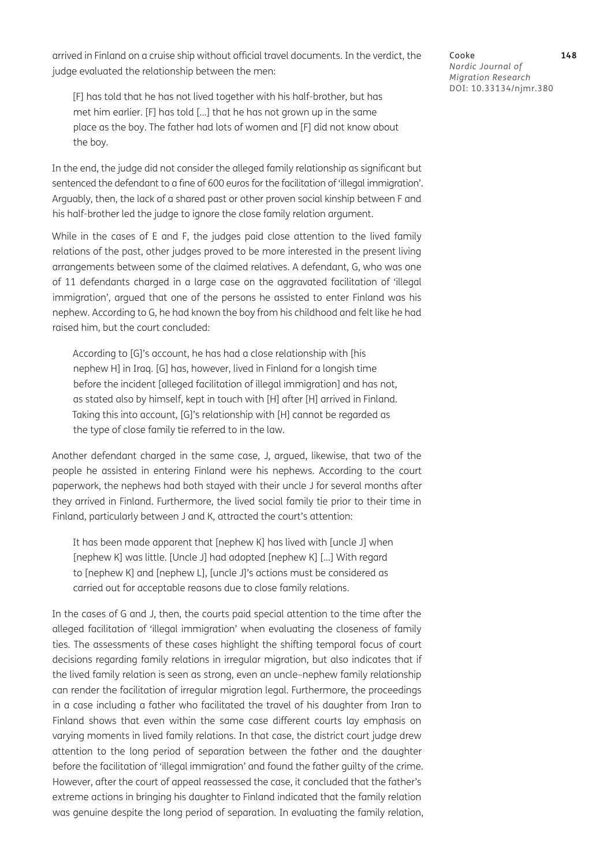arrived in Finland on a cruise ship without official travel documents. In the verdict, the judge evaluated the relationship between the men:

[F] has told that he has not lived together with his half-brother, but has met him earlier. [F] has told […] that he has not grown up in the same place as the boy. The father had lots of women and [F] did not know about the boy.

In the end, the judge did not consider the alleged family relationship as significant but sentenced the defendant to a fine of 600 euros for the facilitation of 'illegal immigration'. Arguably, then, the lack of a shared past or other proven social kinship between F and his half-brother led the judge to ignore the close family relation argument.

While in the cases of E and F, the judges paid close attention to the lived family relations of the past, other judges proved to be more interested in the present living arrangements between some of the claimed relatives. A defendant, G, who was one of 11 defendants charged in a large case on the aggravated facilitation of 'illegal immigration', argued that one of the persons he assisted to enter Finland was his nephew. According to G, he had known the boy from his childhood and felt like he had raised him, but the court concluded:

According to [G]'s account, he has had a close relationship with [his nephew H] in Iraq. [G] has, however, lived in Finland for a longish time before the incident [alleged facilitation of illegal immigration] and has not, as stated also by himself, kept in touch with [H] after [H] arrived in Finland. Taking this into account, [G]'s relationship with [H] cannot be regarded as the type of close family tie referred to in the law.

Another defendant charged in the same case, J, argued, likewise, that two of the people he assisted in entering Finland were his nephews. According to the court paperwork, the nephews had both stayed with their uncle J for several months after they arrived in Finland. Furthermore, the lived social family tie prior to their time in Finland, particularly between J and K, attracted the court's attention:

It has been made apparent that [nephew K] has lived with [uncle J] when [nephew K] was little. [Uncle J] had adopted [nephew K] […] With regard to [nephew K] and [nephew L], [uncle J]'s actions must be considered as carried out for acceptable reasons due to close family relations.

In the cases of G and J, then, the courts paid special attention to the time after the alleged facilitation of 'illegal immigration' when evaluating the closeness of family ties. The assessments of these cases highlight the shifting temporal focus of court decisions regarding family relations in irregular migration, but also indicates that if the lived family relation is seen as strong, even an uncle–nephew family relationship can render the facilitation of irregular migration legal. Furthermore, the proceedings in a case including a father who facilitated the travel of his daughter from Iran to Finland shows that even within the same case different courts lay emphasis on varying moments in lived family relations. In that case, the district court judge drew attention to the long period of separation between the father and the daughter before the facilitation of 'illegal immigration' and found the father guilty of the crime. However, after the court of appeal reassessed the case, it concluded that the father's extreme actions in bringing his daughter to Finland indicated that the family relation was genuine despite the long period of separation. In evaluating the family relation,

Cooke **148** *Nordic Journal of Migration Research* DOI: [10.33134/njmr.380](https://doi.org/10.33134/njmr.380)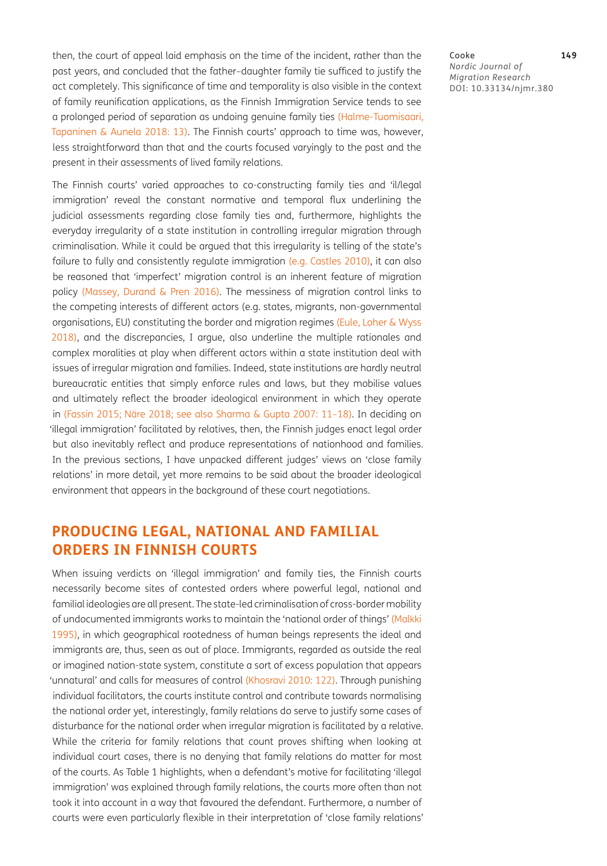then, the court of appeal laid emphasis on the time of the incident, rather than the past years, and concluded that the father–daughter family tie sufficed to justify the act completely. This significance of time and temporality is also visible in the context of family reunification applications, as the Finnish Immigration Service tends to see a prolonged period of separation as undoing genuine family ties (Halme-Tuomisaari, Tapaninen & Aunela 2018: 13). The Finnish courts' approach to time was, however, less straightforward than that and the courts focused varyingly to the past and the present in their assessments of lived family relations.

The Finnish courts' varied approaches to co-constructing family ties and 'il/legal immigration' reveal the constant normative and temporal flux underlining the judicial assessments regarding close family ties and, furthermore, highlights the everyday irregularity of a state institution in controlling irregular migration through criminalisation. While it could be argued that this irregularity is telling of the state's failure to fully and consistently regulate immigration (e.g. [Castles 2010](#page-13-8)), it can also be reasoned that 'imperfect' migration control is an inherent feature of migration policy ([Massey, Durand & Pren 2016\)](#page-15-11). The messiness of migration control links to the competing interests of different actors (e.g. states, migrants, non-governmental organisations, EU) constituting the border and migration regimes ([Eule, Loher & Wyss](#page-14-2)  [2018](#page-14-2)), and the discrepancies, I argue, also underline the multiple rationales and complex moralities at play when different actors within a state institution deal with issues of irregular migration and families. Indeed, state institutions are hardly neutral bureaucratic entities that simply enforce rules and laws, but they mobilise values and ultimately reflect the broader ideological environment in which they operate in ([Fassin 2015](#page-14-7); Näre 2018; see also [Sharma & Gupta 2007](#page-15-12): 11–18). In deciding on 'illegal immigration' facilitated by relatives, then, the Finnish judges enact legal order but also inevitably reflect and produce representations of nationhood and families. In the previous sections, I have unpacked different judges' views on 'close family relations' in more detail, yet more remains to be said about the broader ideological environment that appears in the background of these court negotiations.

# **PRODUCING LEGAL, NATIONAL AND FAMILIAL ORDERS IN FINNISH COURTS**

When issuing verdicts on 'illegal immigration' and family ties, the Finnish courts necessarily become sites of contested orders where powerful legal, national and familial ideologies are all present. The state-led criminalisation of cross-border mobility of undocumented immigrants works to maintain the 'national order of things' (Malkki 1995), in which geographical rootedness of human beings represents the ideal and immigrants are, thus, seen as out of place. Immigrants, regarded as outside the real or imagined nation-state system, constitute a sort of excess population that appears 'unnatural' and calls for measures of control (Khosravi 2010: 122). Through punishing individual facilitators, the courts institute control and contribute towards normalising the national order yet, interestingly, family relations do serve to justify some cases of disturbance for the national order when irregular migration is facilitated by a relative. While the criteria for family relations that count proves shifting when looking at individual court cases, there is no denying that family relations do matter for most of the courts. As Table 1 highlights, when a defendant's motive for facilitating 'illegal immigration' was explained through family relations, the courts more often than not took it into account in a way that favoured the defendant. Furthermore, a number of courts were even particularly flexible in their interpretation of 'close family relations'

#### Cooke **149** *Nordic Journal of Migration Research* DOI: [10.33134/njmr.380](https://doi.org/10.33134/njmr.380)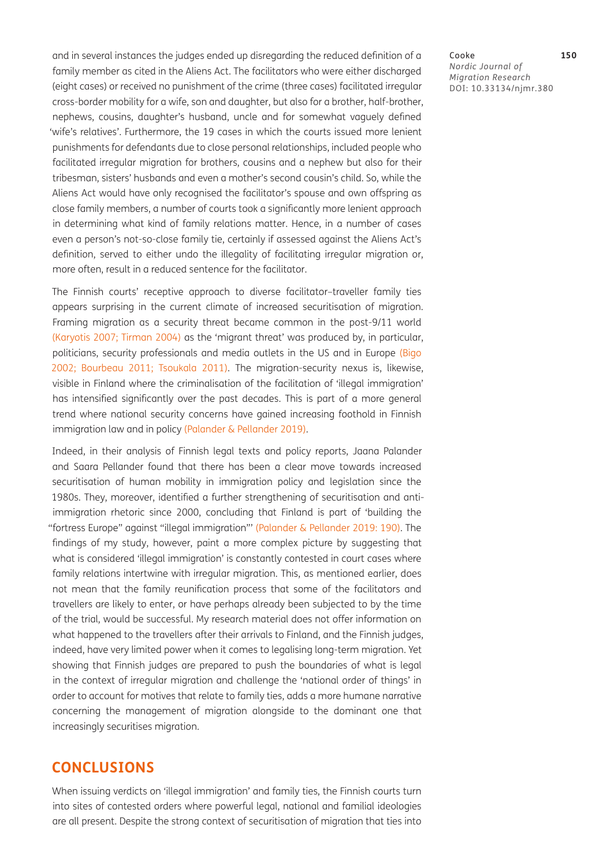and in several instances the judges ended up disregarding the reduced definition of a family member as cited in the Aliens Act. The facilitators who were either discharged (eight cases) or received no punishment of the crime (three cases) facilitated irregular cross-border mobility for a wife, son and daughter, but also for a brother, half-brother, nephews, cousins, daughter's husband, uncle and for somewhat vaguely defined 'wife's relatives'. Furthermore, the 19 cases in which the courts issued more lenient punishments for defendants due to close personal relationships, included people who facilitated irregular migration for brothers, cousins and a nephew but also for their tribesman, sisters' husbands and even a mother's second cousin's child. So, while the Aliens Act would have only recognised the facilitator's spouse and own offspring as close family members, a number of courts took a significantly more lenient approach in determining what kind of family relations matter. Hence, in a number of cases even a person's not-so-close family tie, certainly if assessed against the Aliens Act's definition, served to either undo the illegality of facilitating irregular migration or, more often, result in a reduced sentence for the facilitator.

The Finnish courts' receptive approach to diverse facilitator–traveller family ties appears surprising in the current climate of increased securitisation of migration. Framing migration as a security threat became common in the post-9/11 world [\(Karyotis 2007;](#page-15-13) [Tirman 2004](#page-16-10)) as the 'migrant threat' was produced by, in particular, politicians, security professionals and media outlets in the US and in Europe [\(Bigo](#page-13-9)  [2002](#page-13-9); [Bourbeau 2011;](#page-13-1) [Tsoukala 2011\)](#page-16-4). The migration-security nexus is, likewise, visible in Finland where the criminalisation of the facilitation of 'illegal immigration' has intensified significantly over the past decades. This is part of a more general trend where national security concerns have gained increasing foothold in Finnish immigration law and in policy [\(Palander & Pellander 2019\)](#page-15-3).

Indeed, in their analysis of Finnish legal texts and policy reports, Jaana Palander and Saara Pellander found that there has been a clear move towards increased securitisation of human mobility in immigration policy and legislation since the 1980s. They, moreover, identified a further strengthening of securitisation and antiimmigration rhetoric since 2000, concluding that Finland is part of 'building the "fortress Europe" against "illegal immigration"' ([Palander & Pellander 2019:](#page-15-3) 190). The findings of my study, however, paint a more complex picture by suggesting that what is considered 'illegal immigration' is constantly contested in court cases where family relations intertwine with irregular migration. This, as mentioned earlier, does not mean that the family reunification process that some of the facilitators and travellers are likely to enter, or have perhaps already been subjected to by the time of the trial, would be successful. My research material does not offer information on what happened to the travellers after their arrivals to Finland, and the Finnish judges, indeed, have very limited power when it comes to legalising long-term migration. Yet showing that Finnish judges are prepared to push the boundaries of what is legal in the context of irregular migration and challenge the 'national order of things' in order to account for motives that relate to family ties, adds a more humane narrative concerning the management of migration alongside to the dominant one that increasingly securitises migration.

## **CONCLUSIONS**

When issuing verdicts on 'illegal immigration' and family ties, the Finnish courts turn into sites of contested orders where powerful legal, national and familial ideologies are all present. Despite the strong context of securitisation of migration that ties into

#### Cooke **150** *Nordic Journal of Migration Research* DOI: [10.33134/njmr.380](https://doi.org/10.33134/njmr.380)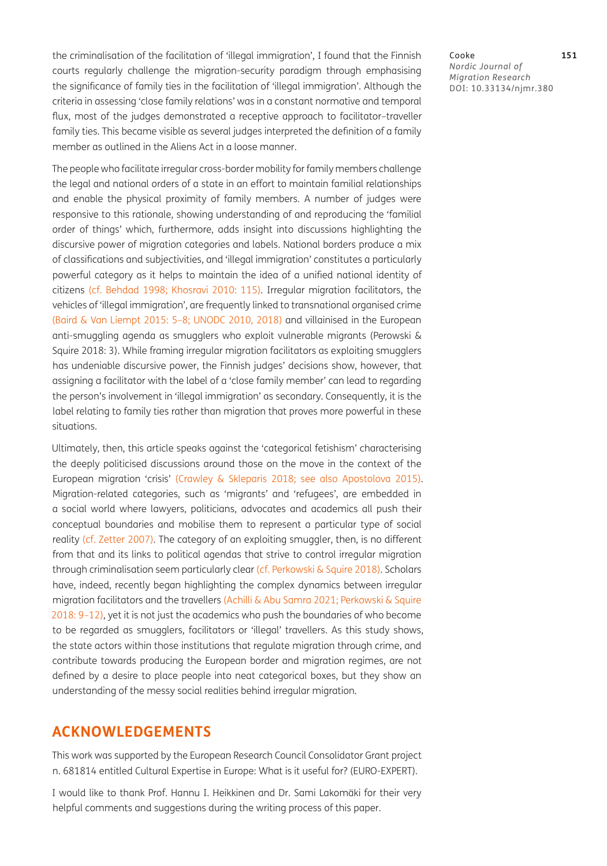the criminalisation of the facilitation of 'illegal immigration', I found that the Finnish courts regularly challenge the migration-security paradigm through emphasising the significance of family ties in the facilitation of 'illegal immigration'. Although the criteria in assessing 'close family relations' was in a constant normative and temporal flux, most of the judges demonstrated a receptive approach to facilitator–traveller family ties. This became visible as several judges interpreted the definition of a family member as outlined in the Aliens Act in a loose manner.

The people who facilitate irregular cross-border mobility for family members challenge the legal and national orders of a state in an effort to maintain familial relationships and enable the physical proximity of family members. A number of judges were responsive to this rationale, showing understanding of and reproducing the 'familial order of things' which, furthermore, adds insight into discussions highlighting the discursive power of migration categories and labels. National borders produce a mix of classifications and subjectivities, and 'illegal immigration' constitutes a particularly powerful category as it helps to maintain the idea of a unified national identity of citizens (cf. Behdad 1998; Khosravi 2010: 115). Irregular migration facilitators, the vehicles of 'illegal immigration', are frequently linked to transnational organised crime [\(Baird & Van Liempt 2015](#page-13-10): 5–8; [UNODC 2010](#page-16-1), [2018](#page-16-2)) and villainised in the European anti-smuggling agenda as smugglers who exploit vulnerable migrants (Perowski & Squire 2018: 3). While framing irregular migration facilitators as exploiting smugglers has undeniable discursive power, the Finnish judges' decisions show, however, that assigning a facilitator with the label of a 'close family member' can lead to regarding the person's involvement in 'illegal immigration' as secondary. Consequently, it is the label relating to family ties rather than migration that proves more powerful in these situations.

Ultimately, then, this article speaks against the 'categorical fetishism' characterising the deeply politicised discussions around those on the move in the context of the European migration 'crisis' ([Crawley & Skleparis 2018](#page-14-8); see also [Apostolova 2015\)](#page-13-11). Migration-related categories, such as 'migrants' and 'refugees', are embedded in a social world where lawyers, politicians, advocates and academics all push their conceptual boundaries and mobilise them to represent a particular type of social reality (cf. Zetter 2007). The category of an exploiting smuggler, then, is no different from that and its links to political agendas that strive to control irregular migration through criminalisation seem particularly clear (cf. [Perkowski & Squire 2018\)](#page-15-0). Scholars have, indeed, recently began highlighting the complex dynamics between irregular migration facilitators and the travellers [\(Achilli & Abu Samra 2021;](#page-13-0) [Perkowski & Squire](#page-15-0)  [2018](#page-15-0): 9–12), yet it is not just the academics who push the boundaries of who become to be regarded as smugglers, facilitators or 'illegal' travellers. As this study shows, the state actors within those institutions that regulate migration through crime, and contribute towards producing the European border and migration regimes, are not defined by a desire to place people into neat categorical boxes, but they show an understanding of the messy social realities behind irregular migration.

### **ACKNOWLEDGEMENTS**

This work was supported by the European Research Council Consolidator Grant project n. 681814 entitled Cultural Expertise in Europe: What is it useful for? (EURO-EXPERT).

I would like to thank Prof. Hannu I. Heikkinen and Dr. Sami Lakomäki for their very helpful comments and suggestions during the writing process of this paper.

Cooke **151** *Nordic Journal of Migration Research* DOI: [10.33134/njmr.380](https://doi.org/10.33134/njmr.380)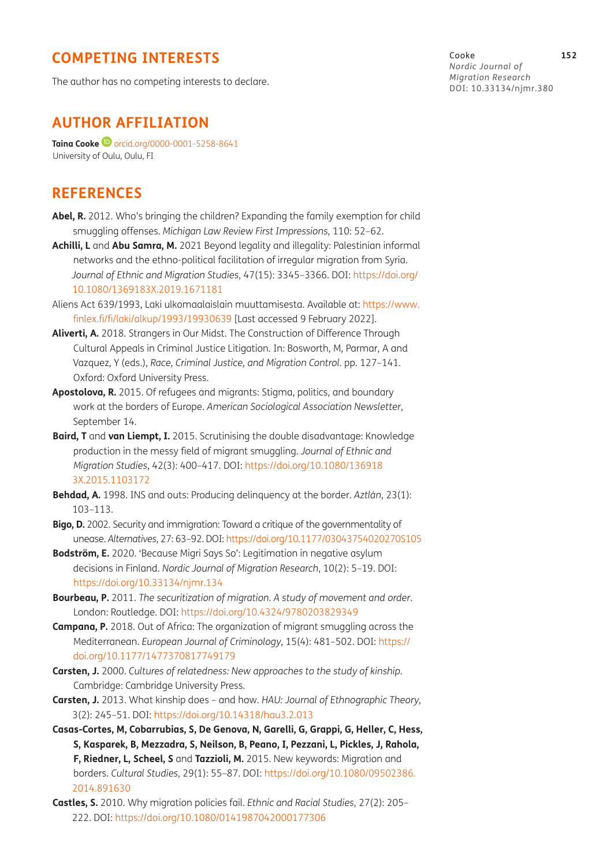# **COMPETING INTERESTS**

The author has no competing interests to declare.

# **AUTHOR AFFILIATION**

**Taina Cooke <sup>D</sup>** [orcid.org/0000-0001-5258-8641](https://orcid.org/0000-0001-5258-8641) University of Oulu, Oulu, FI

# **REFERENCES**

- **Abel, R.** 2012. Who's bringing the children? Expanding the family exemption for child smuggling offenses. *Michigan Law Review First Impressions*, 110: 52–62.
- <span id="page-13-0"></span>**Achilli, L** and **Abu Samra, M.** 2021 Beyond legality and illegality: Palestinian informal networks and the ethno-political facilitation of irregular migration from Syria. *Journal of Ethnic and Migration Studies*, 47(15): 3345–3366. DOI: [https://doi.org/](https://doi.org/10.1080/1369183X.2019.1671181) [10.1080/1369183X.2019.1671181](https://doi.org/10.1080/1369183X.2019.1671181)
- <span id="page-13-3"></span>Aliens Act 639/1993, Laki ulkomaalaislain muuttamisesta. Available at: [https://www.](https://www.finlex.fi/fi/laki/alkup/1993/19930639) [finlex.fi/fi/laki/alkup/1993/19930639](https://www.finlex.fi/fi/laki/alkup/1993/19930639) [Last accessed 9 February 2022].
- <span id="page-13-5"></span>**Aliverti, A.** 2018. Strangers in Our Midst. The Construction of Difference Through Cultural Appeals in Criminal Justice Litigation. In: Bosworth, M, Parmar, A and Vazquez, Y (eds.), *Race, Criminal Justice, and Migration Control*. pp. 127–141. Oxford: Oxford University Press.
- <span id="page-13-11"></span>**Apostolova, R.** 2015. Of refugees and migrants: Stigma, politics, and boundary work at the borders of Europe. *American Sociological Association Newsletter*, September 14.
- <span id="page-13-10"></span>**Baird, T** and **van Liempt, I.** 2015. Scrutinising the double disadvantage: Knowledge production in the messy field of migrant smuggling. *Journal of Ethnic and Migration Studies*, 42(3): 400–417. DOI: https://doi.org/10.1080/136918 3X.2015.1103172
- **Behdad, A.** 1998. INS and outs: Producing delinquency at the border. *Aztlán*, 23(1): 103–113.
- <span id="page-13-9"></span>**Bigo, D.** 2002. Security and immigration: Toward a critique of the governmentality of unease. *Alternatives*, 27: 63–92. DOI:<https://doi.org/10.1177/03043754020270S105>
- **Bodström, E.** 2020. 'Because Migri Says So': Legitimation in negative asylum decisions in Finland. *Nordic Journal of Migration Research*, 10(2): 5–19. DOI: <https://doi.org/10.33134/njmr.134>
- <span id="page-13-1"></span>**Bourbeau, P.** 2011. *The securitization of migration. A study of movement and order*. London: Routledge. DOI:<https://doi.org/10.4324/9780203829349>
- <span id="page-13-4"></span>**Campana, P.** 2018. Out of Africa: The organization of migrant smuggling across the Mediterranean. *European Journal of Criminology*, 15(4): 481–502. DOI: [https://](https://doi.org/10.1177/1477370817749179) [doi.org/10.1177/1477370817749179](https://doi.org/10.1177/1477370817749179)
- <span id="page-13-6"></span>**Carsten, J.** 2000. *Cultures of relatedness: New approaches to the study of kinship*. Cambridge: Cambridge University Press.
- <span id="page-13-7"></span>**Carsten, J.** 2013. What kinship does – and how. *HAU: Journal of Ethnographic Theory*, 3(2): 245–51. DOI:<https://doi.org/10.14318/hau3.2.013>
- <span id="page-13-2"></span>**Casas-Cortes, M, Cobarrubias, S, De Genova, N, Garelli, G, Grappi, G, Heller, C, Hess, S, Kasparek, B, Mezzadra, S, Neilson, B, Peano, I, Pezzani, L, Pickles, J, Rahola, F, Riedner, L, Scheel, S** and **Tazzioli, M.** 2015. New keywords: Migration and borders. *Cultural Studies*, 29(1): 55–87. DOI: [https://doi.org/10.1080/09502386.](https://doi.org/10.1080/09502386.2014.891630) [2014.891630](https://doi.org/10.1080/09502386.2014.891630)
- <span id="page-13-8"></span>**Castles, S.** 2010. Why migration policies fail. *Ethnic and Racial Studies*, 27(2): 205– 222. DOI:<https://doi.org/10.1080/0141987042000177306>

Cooke **152** *Nordic Journal of Migration Research* DOI: [10.33134/njmr.380](https://doi.org/10.33134/njmr.380)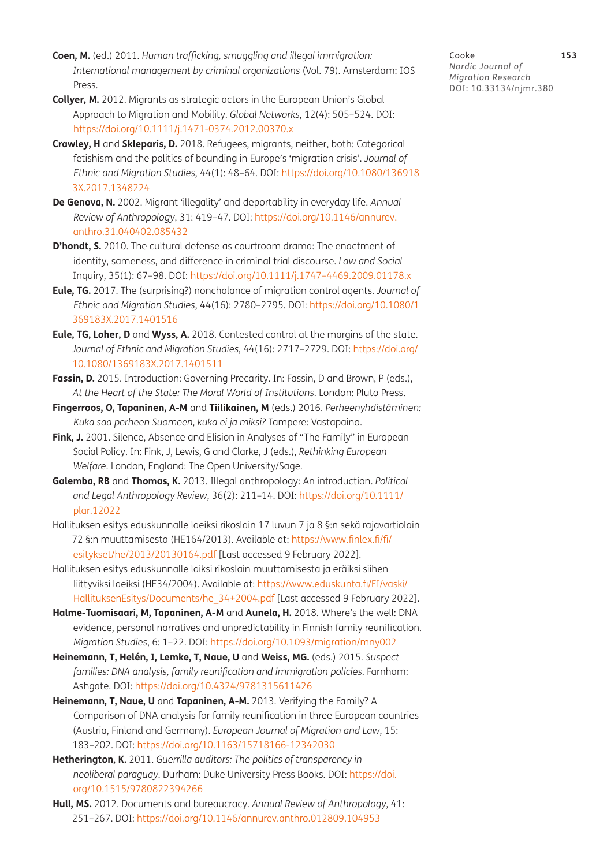- <span id="page-14-0"></span>**Coen, M.** (ed.) 2011*. Human trafficking, smuggling and illegal immigration: International management by criminal organizations* (Vol. 79). Amsterdam: IOS Press.
- **Collyer, M.** 2012. Migrants as strategic actors in the European Union's Global Approach to Migration and Mobility. *Global Networks*, 12(4): 505–524. DOI: <https://doi.org/10.1111/j.1471-0374.2012.00370.x>
- <span id="page-14-8"></span>**Crawley, H** and **Skleparis, D.** 2018. Refugees, migrants, neither, both: Categorical fetishism and the politics of bounding in Europe's 'migration crisis'. *Journal of Ethnic and Migration Studies*, 44(1): 48–64. DOI: [https://doi.org/10.1080/136918](https://doi.org/10.1080/1369183X.2017.1348224) [3X.2017.1348224](https://doi.org/10.1080/1369183X.2017.1348224)
- **De Genova, N.** 2002. Migrant 'illegality' and deportability in everyday life. *Annual Review of Anthropology*, 31: 419–47. DOI: [https://doi.org/10.1146/annurev.](https://doi.org/10.1146/annurev.anthro.31.040402.085432) [anthro.31.040402.085432](https://doi.org/10.1146/annurev.anthro.31.040402.085432)
- **D'hondt, S.** 2010. The cultural defense as courtroom drama: The enactment of identity, sameness, and difference in criminal trial discourse. *Law and Social*  Inquiry, 35(1): 67–98. DOI: [https://doi.org/10.1111/j.1747–4469.2009.01178.x](https://doi.org/10.1111/j.1747-4469.2009.01178.x)
- <span id="page-14-1"></span>**Eule, TG.** 2017. The (surprising?) nonchalance of migration control agents. *Journal of Ethnic and Migration Studies*, 44(16): 2780–2795. DOI: [https://doi.org/10.1080/1](https://doi.org/10.1080/1369183X.2017.1401516) [369183X.2017.1401516](https://doi.org/10.1080/1369183X.2017.1401516)
- <span id="page-14-2"></span>**Eule, TG, Loher, D** and **Wyss, A.** 2018. Contested control at the margins of the state. *Journal of Ethnic and Migration Studies*, 44(16): 2717–2729. DOI: [https://doi.org/](https://doi.org/10.1080/1369183X.2017.1401511) [10.1080/1369183X.2017.1401511](https://doi.org/10.1080/1369183X.2017.1401511)
- <span id="page-14-7"></span>Fassin, D. 2015. Introduction: Governing Precarity. In: Fassin, D and Brown, P (eds.), *At the Heart of the State: The Moral World of Institutions*. London: Pluto Press.
- **Fingerroos, O, Tapaninen, A-M** and **Tiilikainen, M** (eds.) 2016. *Perheenyhdistäminen: Kuka saa perheen Suomeen, kuka ei ja miksi?* Tampere: Vastapaino.
- **Fink, J.** 2001. Silence, Absence and Elision in Analyses of "The Family" in European Social Policy. In: Fink, J, Lewis, G and Clarke, J (eds.), *Rethinking European Welfare*. London, England: The Open University/Sage.
- <span id="page-14-3"></span>**Galemba, RB** and **Thomas, K.** 2013. Illegal anthropology: An introduction. *Political and Legal Anthropology Review*, 36(2): 211–14. DOI: [https://doi.org/10.1111/](https://doi.org/10.1111/plar.12022) [plar.12022](https://doi.org/10.1111/plar.12022)
- Hallituksen esitys eduskunnalle laeiksi rikoslain 17 luvun 7 ja 8 §:n sekä rajavartiolain 72 §:n muuttamisesta (HE164/2013). Available at: [https://www.finlex.fi/fi/](https://www.finlex.fi/fi/esitykset/he/2013/20130164.pdf) [esitykset/he/2013/20130164.pdf](https://www.finlex.fi/fi/esitykset/he/2013/20130164.pdf) [Last accessed 9 February 2022].
- Hallituksen esitys eduskunnalle laiksi rikoslain muuttamisesta ja eräiksi siihen liittyviksi laeiksi (HE34/2004). Available at: [https://www.eduskunta.fi/FI/vaski/](https://www.eduskunta.fi/FI/vaski/HallituksenEsitys/Documents/he_34+2004.pdf) [HallituksenEsitys/Documents/he\\_34+2004.pdf](https://www.eduskunta.fi/FI/vaski/HallituksenEsitys/Documents/he_34+2004.pdf) [Last accessed 9 February 2022].
- **Halme-Tuomisaari, M, Tapaninen, A-M** and **Aunela, H.** 2018. Where's the well: DNA evidence, personal narratives and unpredictability in Finnish family reunification. *Migration Studies*, 6: 1–22. DOI:<https://doi.org/10.1093/migration/mny002>
- **Heinemann, T, Helén, I, Lemke, T, Naue, U** and **Weiss, MG.** (eds.) 2015. *Suspect families: DNA analysis, family reunification and immigration policies*. Farnham: Ashgate. DOI: <https://doi.org/10.4324/9781315611426>
- <span id="page-14-6"></span>**Heinemann, T, Naue, U** and **Tapaninen, A-M.** 2013. Verifying the Family? A Comparison of DNA analysis for family reunification in three European countries (Austria, Finland and Germany). *European Journal of Migration and Law*, 15: 183–202. DOI:<https://doi.org/10.1163/15718166-12342030>
- <span id="page-14-4"></span>**Hetherington, K.** 2011. *Guerrilla auditors: The politics of transparency in neoliberal paraguay*. Durham: Duke University Press Books. DOI: [https://doi.](https://doi.org/10.1515/9780822394266) [org/10.1515/9780822394266](https://doi.org/10.1515/9780822394266)
- <span id="page-14-5"></span>**Hull, MS.** 2012. Documents and bureaucracy. *Annual Review of Anthropology*, 41: 251–267. DOI:<https://doi.org/10.1146/annurev.anthro.012809.104953>

Cooke **153** *Nordic Journal of Migration Research* DOI: [10.33134/njmr.380](https://doi.org/10.33134/njmr.380)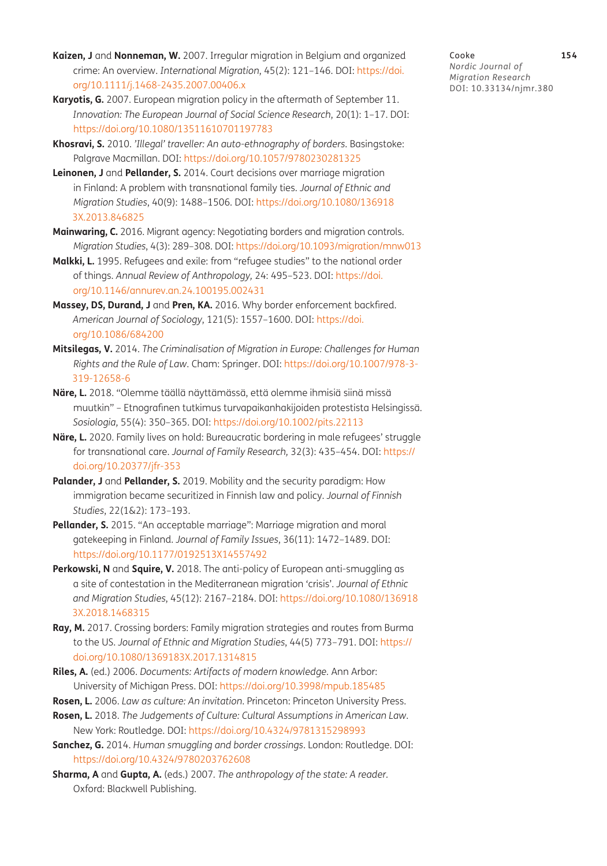- <span id="page-15-2"></span>**Kaizen, J** and **Nonneman, W.** 2007. Irregular migration in Belgium and organized crime: An overview. *International Migration*, 45(2): 121–146. DOI: [https://doi.](https://doi.org/10.1111/j.1468-2435.2007.00406.x) [org/10.1111/j.1468-2435.2007.00406.x](https://doi.org/10.1111/j.1468-2435.2007.00406.x)
- <span id="page-15-13"></span>**Karyotis, G.** 2007. European migration policy in the aftermath of September 11. *Innovation: The European Journal of Social Science Research*, 20(1): 1–17. DOI: <https://doi.org/10.1080/13511610701197783>
- **Khosravi, S.** 2010. *'Illegal' traveller: An auto-ethnography of borders*. Basingstoke: Palgrave Macmillan. DOI:<https://doi.org/10.1057/9780230281325>
- <span id="page-15-7"></span>**Leinonen, J** and **Pellander, S.** 2014. Court decisions over marriage migration in Finland: A problem with transnational family ties. *Journal of Ethnic and Migration Studies*, 40(9): 1488–1506. DOI: [https://doi.org/10.1080/136918](https://doi.org/10.1080/1369183X.2013.846825) [3X.2013.846825](https://doi.org/10.1080/1369183X.2013.846825)
- <span id="page-15-10"></span>**Mainwaring, C.** 2016. Migrant agency: Negotiating borders and migration controls. *Migration Studies*, 4(3): 289–308. DOI:<https://doi.org/10.1093/migration/mnw013>
- **Malkki, L.** 1995. Refugees and exile: from "refugee studies" to the national order of things. *Annual Review of Anthropology,* 24: 495–523. DOI: [https://doi.](https://doi.org/10.1146/annurev.an.24.100195.002431) [org/10.1146/annurev.an.24.100195.002431](https://doi.org/10.1146/annurev.an.24.100195.002431)
- <span id="page-15-11"></span>**Massey, DS, Durand, J** and **Pren, KA.** 2016. Why border enforcement backfired. *American Journal of Sociology*, 121(5): 1557–1600. DOI: [https://doi.](https://doi.org/10.1086/684200) [org/10.1086/684200](https://doi.org/10.1086/684200)
- <span id="page-15-4"></span>**Mitsilegas, V.** 2014. *The Criminalisation of Migration in Europe: Challenges for Human Rights and the Rule of Law*. Cham: Springer. DOI: [https://doi.org/10.1007/978-3-](https://doi.org/10.1007/978-3-319-12658-6) [319-12658-6](https://doi.org/10.1007/978-3-319-12658-6)
- **Näre, L.** 2018. "Olemme täällä näyttämässä, että olemme ihmisiä siinä missä muutkin" – Etnografinen tutkimus turvapaikanhakijoiden protestista Helsingissä. *Sosiologia,* 55(4): 350–365. DOI: <https://doi.org/10.1002/pits.22113>
- **Näre, L.** 2020. Family lives on hold: Bureaucratic bordering in male refugees' struggle for transnational care. *Journal of Family Research,* 32(3): 435–454. DOI: [https://](https://doi.org/10.20377/jfr-353) [doi.org/10.20377/jfr-353](https://doi.org/10.20377/jfr-353)
- <span id="page-15-3"></span>**Palander, J** and **Pellander, S.** 2019. Mobility and the security paradigm: How immigration became securitized in Finnish law and policy. *Journal of Finnish Studies*, 22(1&2): 173–193.
- Pellander, S. 2015. "An acceptable marriage": Marriage migration and moral gatekeeping in Finland. *Journal of Family Issues*, 36(11): 1472–1489. DOI: <https://doi.org/10.1177/0192513X14557492>
- <span id="page-15-0"></span>**Perkowski, N** and **Squire, V.** 2018. The anti-policy of European anti-smuggling as a site of contestation in the Mediterranean migration 'crisis'. *Journal of Ethnic and Migration Studies*, 45(12): 2167–2184. DOI: [https://doi.org/10.1080/136918](https://doi.org/10.1080/1369183X.2018.1468315) [3X.2018.1468315](https://doi.org/10.1080/1369183X.2018.1468315)
- <span id="page-15-1"></span>**Ray, M.** 2017. Crossing borders: Family migration strategies and routes from Burma to the US. *Journal of Ethnic and Migration Studies*, 44(5) 773–791. DOI: [https://](https://doi.org/10.1080/1369183X.2017.1314815) [doi.org/10.1080/1369183X.2017.1314815](https://doi.org/10.1080/1369183X.2017.1314815)
- <span id="page-15-6"></span>**Riles, A.** (ed.) 2006. *Documents: Artifacts of modern knowledge.* Ann Arbor: University of Michigan Press. DOI: <https://doi.org/10.3998/mpub.185485>
- <span id="page-15-8"></span>**Rosen, L.** 2006. *Law as culture: An invitation*. Princeton: Princeton University Press.
- <span id="page-15-9"></span>**Rosen, L.** 2018. *The Judgements of Culture: Cultural Assumptions in American Law*. New York: Routledge. DOI:<https://doi.org/10.4324/9781315298993>
- <span id="page-15-5"></span>**Sanchez, G.** 2014. *Human smuggling and border crossings*. London: Routledge. DOI: <https://doi.org/10.4324/9780203762608>
- <span id="page-15-12"></span>**Sharma, A** and **Gupta, A.** (eds.) 2007*. The anthropology of the state: A reader.*  Oxford: Blackwell Publishing.

Cooke **154** *Nordic Journal of Migration Research* DOI: [10.33134/njmr.380](https://doi.org/10.33134/njmr.380)